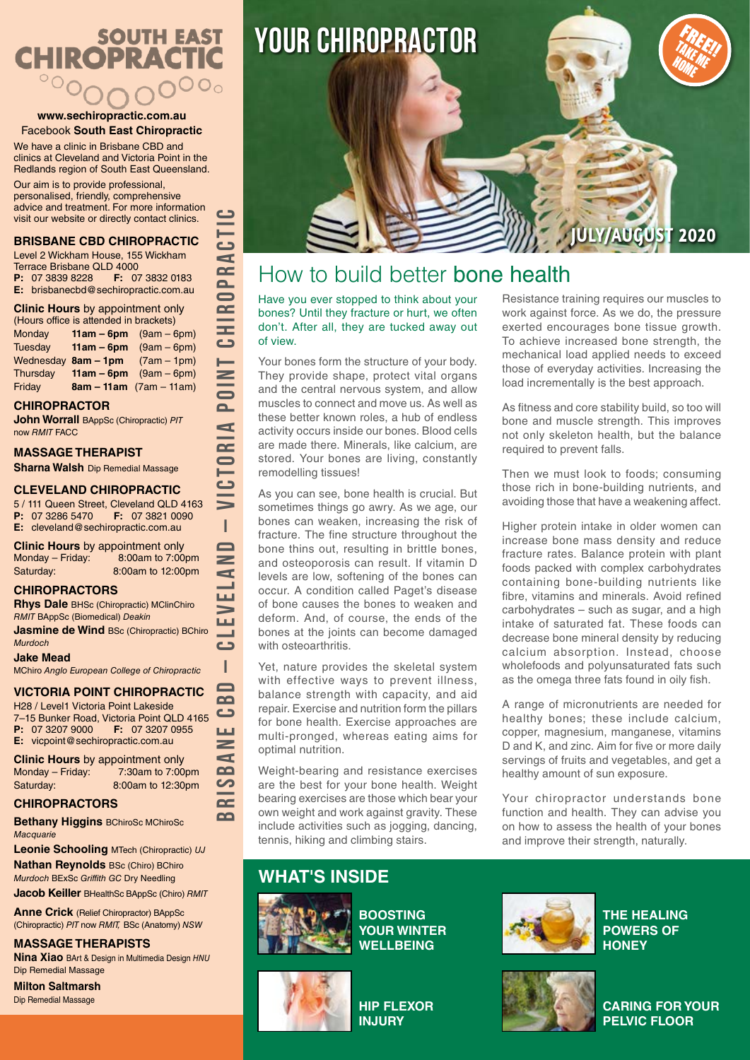# **SOUTH EAST CHIROPRACTIC**  $\overline{O}O$

#### **www.sechiropractic.com.au** Facebook **South East Chiropractic**

We have a clinic in Brisbane CBD and clinics at Cleveland and Victoria Point in the Redlands region of South East Queensland.

Our aim is to provide professional, personalised, friendly, comprehensive advice and treatment. For more information visit our website or directly contact clinics.

#### **BRISBANE CBD CHIROPRACTIC**

| Level 2 Wickham House, 155 Wickham                                                                                                                                                                                                 |  |  |  |
|------------------------------------------------------------------------------------------------------------------------------------------------------------------------------------------------------------------------------------|--|--|--|
| <b>Terrace Brisbane QLD 4000</b>                                                                                                                                                                                                   |  |  |  |
| <b>P:</b> 07 3839 8228 <b>F:</b> 07 3832 0183                                                                                                                                                                                      |  |  |  |
| E: brisbanecbd@sechiropractic.com.au                                                                                                                                                                                               |  |  |  |
| $\bullet$ . The same is a set of the same in the same in the same in the same in the same in the same in the same in the same in the same in the same in the same in the same in the same in the same in the same in the same in t |  |  |  |

**Clinic Hours** by appointment only

| (Hours office is attended in brackets) |  |                                     |  |
|----------------------------------------|--|-------------------------------------|--|
| Monday                                 |  | <b>11am – 6pm</b> $(9am - 6pm)$     |  |
| Tuesdav                                |  | $11am - 6pm$ (9am $-6pm$ )          |  |
|                                        |  | Wednesday $8am - 1pm$ (7am $-1pm$ ) |  |
| Thursday                               |  | <b>11am – 6pm</b> $(9am - 6pm)$     |  |
| Friday                                 |  | $8am - 11am$ (7am – 11am)           |  |

### **CHIROPRACTOR**

**John Worrall** BAppSc (Chiropractic) *PIT* now *RMIT* FACC

### **MASSAGE THERAPIST**

**Sharna Walsh** Dip Remedial Massage

### **CLEVELAND CHIROPRACTIC**

5 / 111 Queen Street, Cleveland QLD 4163<br>**P:** 07 3286 5470 **F:** 07 3821 0090 **P:** 07 3286 5470 **E:** cleveland@sechiropractic.com.au

**BRISBANE CBD – CLEVELAND – VICTORIA POINT CHIROPRACTIC**

 $\mathbf{I}$  $\blacksquare$  $\, =$ d Щ  $\Rightarrow$ LШ السد  $\epsilon$ I  $\blacksquare$  $\mathbf{a}$  $\bullet$ LЦ  $\geq$  $\mathbf{r}$  $\mathbf{a}$ ပာ  $\sim$  $\Omega$ 

دے

 $\overline{\mathbf{a}}$  $\mathbf{I}$  $\overline{a}$ 

 $\epsilon$ 

دة  $\blacksquare$  $\overline{C}$  $\overline{\mathbf{a}}$  $\blacksquare$  $\bar{c}$ CHI

**Clinic Hours** by appointment only<br>Monday – Friday: 8:00am to 7:00 8:00am to 7:00pm Saturday: 8:00am to 12:00pm

### **CHIROPRACTORS**

**Rhys Dale** BHSc (Chiropractic) MClinChiro *RMIT* BAppSc (Biomedical) *Deakin*

**Jasmine de Wind BSc (Chiropractic) BChiro** *Murdoch*

**Jake Mead**

MChiro *Anglo European College of Chiropractic*

### **VICTORIA POINT CHIROPRACTIC**

H28 / Level1 Victoria Point Lakeside 7–15 Bunker Road, Victoria Point QLD 4165<br>**P:** 07 3207 9000 **F:** 07 3207 0955 **F:** 07 3207 0955 **E:** vicpoint@sechiropractic.com.au

**Clinic Hours** by appointment only<br>Monday – Friday: 7:30am to 7:00pm Monday – Friday: Saturday: 8:00am to 12:30pm

### **CHIROPRACTORS**

**Bethany Higgins** BChiroSc MChiroSc *Macquarie*

**Leonie Schooling** MTech (Chiropractic) *UJ*

**Nathan Reynolds** BSc (Chiro) BChiro *Murdoch* BExSc *Griffith GC* Dry Needling **Jacob Keiller** BHealthSc BAppSc (Chiro) *RMIT*

**Anne Crick** (Relief Chiropractor) BAppSc (Chiropractic) *PIT* now *RMIT,* BSc (Anatomy) *NSW*

### **MASSAGE THERAPISTS**

**Nina Xiao** BArt & Design in Multimedia Design *HNU* Dip Remedial Massage

**Milton Saltmarsh**  Dip Remedial Massage



# How to build better bone health

Have you ever stopped to think about your bones? Until they fracture or hurt, we often don't. After all, they are tucked away out of view.

Your bones form the structure of your body. They provide shape, protect vital organs and the central nervous system, and allow muscles to connect and move us. As well as these better known roles, a hub of endless activity occurs inside our bones. Blood cells are made there. Minerals, like calcium, are stored. Your bones are living, constantly remodelling tissues!

As you can see, bone health is crucial. But sometimes things go awry. As we age, our bones can weaken, increasing the risk of fracture. The fine structure throughout the bone thins out, resulting in brittle bones, and osteoporosis can result. If vitamin D levels are low, softening of the bones can occur. A condition called Paget's disease of bone causes the bones to weaken and deform. And, of course, the ends of the bones at the joints can become damaged with osteoarthritis.

Yet, nature provides the skeletal system with effective ways to prevent illness, balance strength with capacity, and aid repair. Exercise and nutrition form the pillars for bone health. Exercise approaches are multi-pronged, whereas eating aims for optimal nutrition.

Weight-bearing and resistance exercises are the best for your bone health. Weight bearing exercises are those which bear your own weight and work against gravity. These include activities such as jogging, dancing, tennis, hiking and climbing stairs.

### **WHAT'S INSIDE**



**BOOSTING YOUR WINTER WELLBEING**



**HIP FLEXOR INJURY**

Resistance training requires our muscles to work against force. As we do, the pressure exerted encourages bone tissue growth. To achieve increased bone strength, the mechanical load applied needs to exceed those of everyday activities. Increasing the load incrementally is the best approach.

**JULY/AUGUST 2020**

FREE!!<br>MEE!! TAKE ME HOME

As fitness and core stability build, so too will bone and muscle strength. This improves not only skeleton health, but the balance required to prevent falls.

Then we must look to foods; consuming those rich in bone-building nutrients, and avoiding those that have a weakening affect.

Higher protein intake in older women can increase bone mass density and reduce fracture rates. Balance protein with plant foods packed with complex carbohydrates containing bone-building nutrients like fibre, vitamins and minerals. Avoid refined carbohydrates – such as sugar, and a high intake of saturated fat. These foods can decrease bone mineral density by reducing calcium absorption. Instead, choose wholefoods and polyunsaturated fats such as the omega three fats found in oily fish.

A range of micronutrients are needed for healthy bones; these include calcium, copper, magnesium, manganese, vitamins D and K, and zinc. Aim for five or more daily servings of fruits and vegetables, and get a healthy amount of sun exposure.

Your chiropractor understands bone function and health. They can advise you on how to assess the health of your bones and improve their strength, naturally.



**THE HEALING POWERS OF HONEY**



**CARING FOR YOUR PELVIC FLOOR**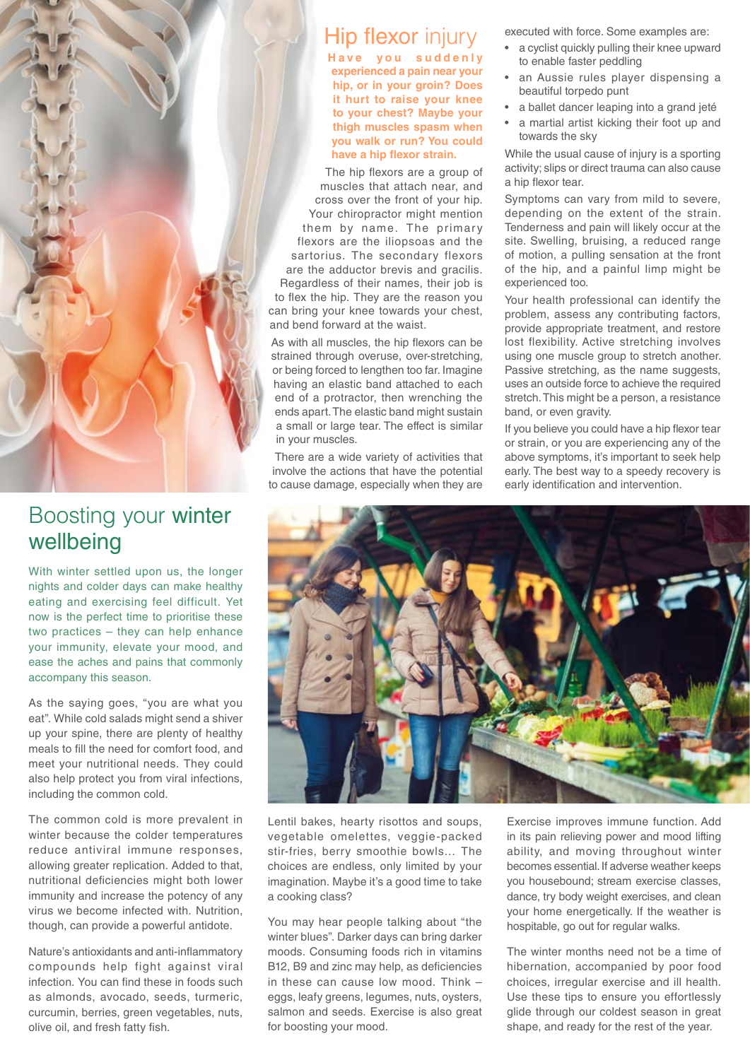

## Boosting your winter wellbeing

With winter settled upon us, the longer nights and colder days can make healthy eating and exercising feel difficult. Yet now is the perfect time to prioritise these two practices – they can help enhance your immunity, elevate your mood, and ease the aches and pains that commonly accompany this season.

As the saying goes, "you are what you eat". While cold salads might send a shiver up your spine, there are plenty of healthy meals to fill the need for comfort food, and meet your nutritional needs. They could also help protect you from viral infections, including the common cold.

The common cold is more prevalent in winter because the colder temperatures reduce antiviral immune responses, allowing greater replication. Added to that, nutritional deficiencies might both lower immunity and increase the potency of any virus we become infected with. Nutrition, though, can provide a powerful antidote.

Nature's antioxidants and anti-inflammatory compounds help fight against viral infection. You can find these in foods such as almonds, avocado, seeds, turmeric, curcumin, berries, green vegetables, nuts, olive oil, and fresh fatty fish.

### Hip flexor injury

**Have you suddenly experienced a pain near your hip, or in your groin? Does it hurt to raise your knee to your chest? Maybe your thigh muscles spasm when you walk or run? You could have a hip flexor strain.**

The hip flexors are a group of muscles that attach near, and cross over the front of your hip. Your chiropractor might mention them by name. The primary flexors are the iliopsoas and the sartorius. The secondary flexors are the adductor brevis and gracilis. Regardless of their names, their job is to flex the hip. They are the reason you can bring your knee towards your chest, and bend forward at the waist.

As with all muscles, the hip flexors can be strained through overuse, over-stretching, or being forced to lengthen too far. Imagine having an elastic band attached to each end of a protractor, then wrenching the ends apart. The elastic band might sustain a small or large tear. The effect is similar in your muscles.

There are a wide variety of activities that involve the actions that have the potential to cause damage, especially when they are executed with force. Some examples are:

- a cyclist quickly pulling their knee upward to enable faster peddling
- an Aussie rules player dispensing a beautiful torpedo punt
- a ballet dancer leaping into a grand jeté
- a martial artist kicking their foot up and towards the sky

While the usual cause of injury is a sporting activity; slips or direct trauma can also cause a hip flexor tear.

Symptoms can vary from mild to severe, depending on the extent of the strain. Tenderness and pain will likely occur at the site. Swelling, bruising, a reduced range of motion, a pulling sensation at the front of the hip, and a painful limp might be experienced too.

Your health professional can identify the problem, assess any contributing factors, provide appropriate treatment, and restore lost flexibility. Active stretching involves using one muscle group to stretch another. Passive stretching, as the name suggests, uses an outside force to achieve the required stretch. This might be a person, a resistance band, or even gravity.

If you believe you could have a hip flexor tear or strain, or you are experiencing any of the above symptoms, it's important to seek help early. The best way to a speedy recovery is early identification and intervention.



Lentil bakes, hearty risottos and soups, vegetable omelettes, veggie-packed stir-fries, berry smoothie bowls… The choices are endless, only limited by your imagination. Maybe it's a good time to take a cooking class?

You may hear people talking about "the winter blues". Darker days can bring darker moods. Consuming foods rich in vitamins B12, B9 and zinc may help, as deficiencies in these can cause low mood. Think – eggs, leafy greens, legumes, nuts, oysters, salmon and seeds. Exercise is also great for boosting your mood.

Exercise improves immune function. Add in its pain relieving power and mood lifting ability, and moving throughout winter becomes essential. If adverse weather keeps you housebound; stream exercise classes, dance, try body weight exercises, and clean your home energetically. If the weather is hospitable, go out for regular walks.

The winter months need not be a time of hibernation, accompanied by poor food choices, irregular exercise and ill health. Use these tips to ensure you effortlessly glide through our coldest season in great shape, and ready for the rest of the year.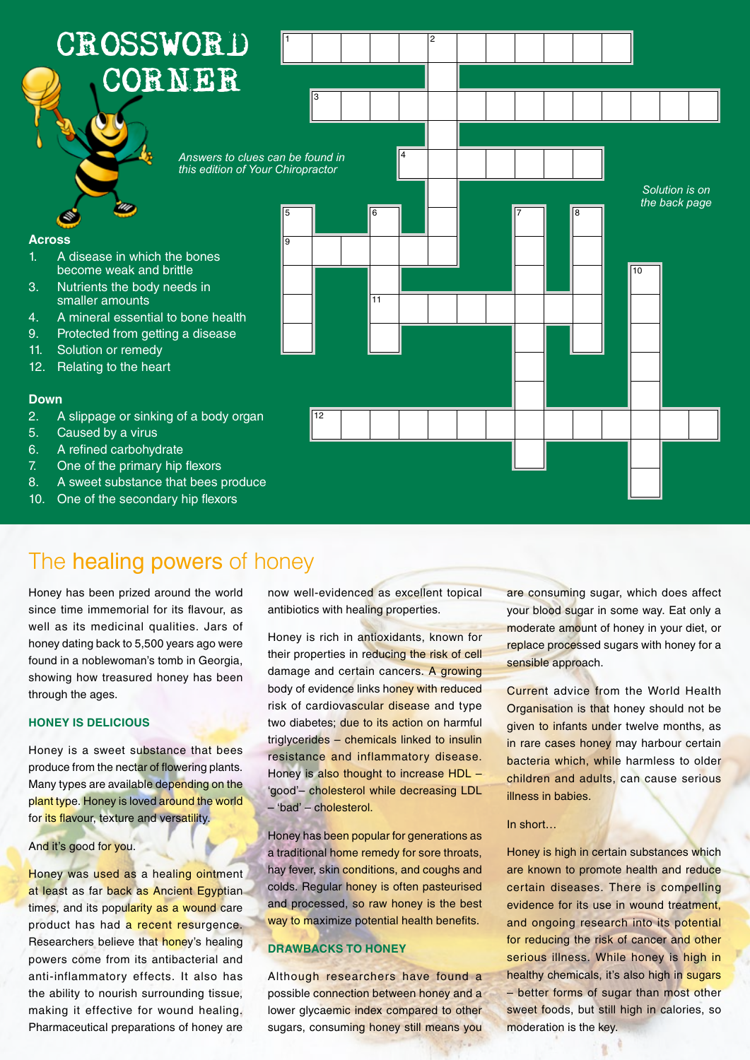

### The healing powers of honey

Honey has been prized around the world since time immemorial for its flavour, as well as its medicinal qualities. Jars of honey dating back to 5,500 years ago were found in a noblewoman's tomb in Georgia, showing how treasured honey has been through the ages.

### **HONEY IS DELICIOUS**

Honey is a sweet substance that bees produce from the nectar of flowering plants. Many types are available depending on the plant type. Honey is loved around the world for its flavour, texture and versatility.

#### And it's good for you.

Honey was used as a healing ointment at least as far back as Ancient Egyptian times, and its popularity as a wound care product has had a recent resurgence. Researchers believe that honey's healing powers come from its antibacterial and anti-inflammatory effects. It also has the ability to nourish surrounding tissue, making it effective for wound healing. Pharmaceutical preparations of honey are

now well-evidenced as excellent topical antibiotics with healing properties.

Honey is rich in antioxidants, known for their properties in reducing the risk of cell damage and certain cancers. A growing body of evidence links honey with reduced risk of cardiovascular disease and type two diabetes; due to its action on harmful triglycerides – chemicals linked to insulin resistance and inflammatory disease. Honey is also thought to increase HDL – 'good'– cholesterol while decreasing LDL – 'bad' – cholesterol.

Honey has been popular for generations as a traditional home remedy for sore throats, hay fever, skin conditions, and coughs and colds. Regular honey is often pasteurised and processed, so raw honey is the best way to maximize potential health benefits.

### **DRAWBACKS TO HONEY**

Although researchers have found a possible connection between honey and a lower glycaemic index compared to other sugars, consuming honey still means you

are consuming sugar, which does affect your blood sugar in some way. Eat only a moderate amount of honey in your diet, or replace processed sugars with honey for a sensible approach.

Current advice from the World Health Organisation is that honey should not be given to infants under twelve months, as in rare cases honey may harbour certain bacteria which, while harmless to older children and adults, can cause serious illness in babies.

#### In short…

Honey is high in certain substances which are known to promote health and reduce certain diseases. There is compelling evidence for its use in wound treatment, and ongoing research into its potential for reducing the risk of cancer and other serious illness. While honey is high in healthy chemicals, it's also high in sugars – better forms of sugar than most other sweet foods, but still high in calories, so moderation is the key.

ų